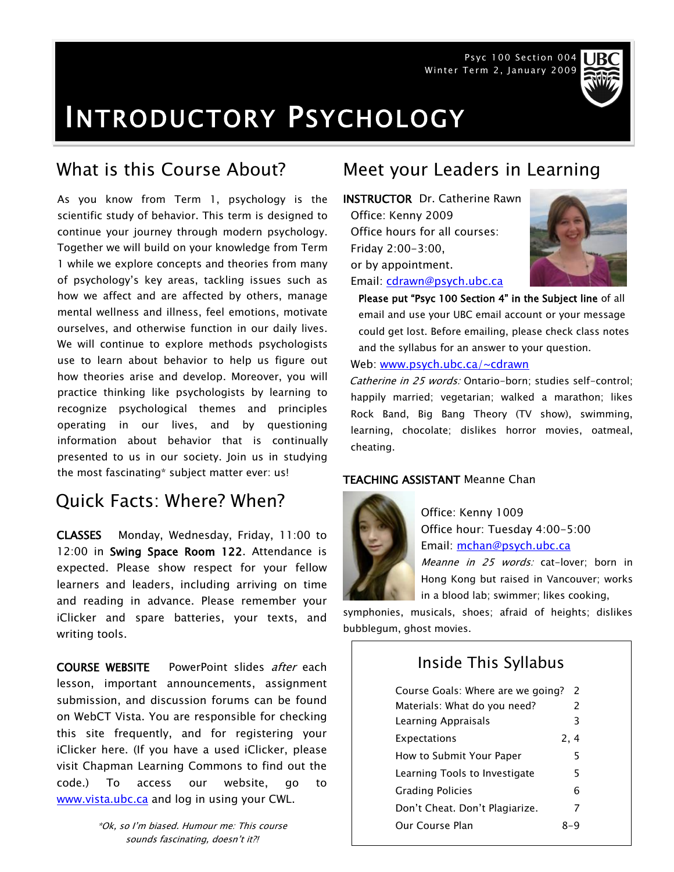Psyc 100 Section 004 Winter Term 2, January 2009



# INTRODUCTORY PSYCHOLOGY

As you know from Term 1, psychology is the scientific study of behavior. This term is designed to continue your journey through modern psychology. Together we will build on your knowledge from Term 1 while we explore concepts and theories from many of psychology's key areas, tackling issues such as how we affect and are affected by others, manage mental wellness and illness, feel emotions, motivate ourselves, and otherwise function in our daily lives. We will continue to explore methods psychologists use to learn about behavior to help us figure out how theories arise and develop. Moreover, you will practice thinking like psychologists by learning to recognize psychological themes and principles operating in our lives, and by questioning information about behavior that is continually presented to us in our society. Join us in studying the most fascinating\* subject matter ever: us!

# Quick Facts: Where? When?

CLASSES Monday, Wednesday, Friday, 11:00 to 12:00 in Swing Space Room 122. Attendance is expected. Please show respect for your fellow learners and leaders, including arriving on time and reading in advance. Please remember your iClicker and spare batteries, your texts, and writing tools.

COURSE WEBSITE PowerPoint slides after each lesson, important announcements, assignment submission, and discussion forums can be found on WebCT Vista. You are responsible for checking this site frequently, and for registering your iClicker here. (If you have a used iClicker, please visit Chapman Learning Commons to find out the code.) To access our website, go to [www.vista.ubc.ca](http://www.vista.ubc.ca/) and log in using your CWL.

# What is this Course About? Meet your Leaders in Learning

INSTRUCTOR Dr. Catherine Rawn Office: Kenny 2009 Office hours for all courses: Friday 2:00-3:00, or by appointment. Email: [cdrawn@psych.ubc.ca](mailto:cdrawn@psych.ubc.ca)



Please put "Psyc 100 Section 4" in the Subject line of all email and use your UBC email account or your message could get lost. Before emailing, please check class notes and the syllabus for an answer to your question.

Web: [www.psych.ubc.ca/~cdrawn](http://www.psych.ubc.ca/~cdrawn)

Catherine in 25 words: Ontario-born; studies self-control; happily married; vegetarian; walked a marathon; likes Rock Band, Big Bang Theory (TV show), swimming, learning, chocolate; dislikes horror movies, oatmeal, cheating.

### TEACHING ASSISTANT Meanne Chan



Office: Kenny 1009 Office hour: Tuesday 4:00-5:00 Email: [mchan@psych.ubc.ca](mailto:mchan@psych.ubc.ca)

Meanne in 25 words: cat-lover; born in Hong Kong but raised in Vancouver; works in a blood lab; swimmer; likes cooking,

symphonies, musicals, shoes; afraid of heights; dislikes bubblegum, ghost movies.

# Inside This Syllabus

| Course Goals: Where are we going? | $\mathcal{P}$ |  |
|-----------------------------------|---------------|--|
| Materials: What do you need?      | $\mathcal{P}$ |  |
| Learning Appraisals               | 3             |  |
| Expectations                      | 2, 4          |  |
| How to Submit Your Paper          | 5             |  |
| Learning Tools to Investigate     | 5             |  |
| <b>Grading Policies</b>           | 6             |  |
| Don't Cheat. Don't Plagiarize.    | 7             |  |
| Our Course Plan                   |               |  |
|                                   |               |  |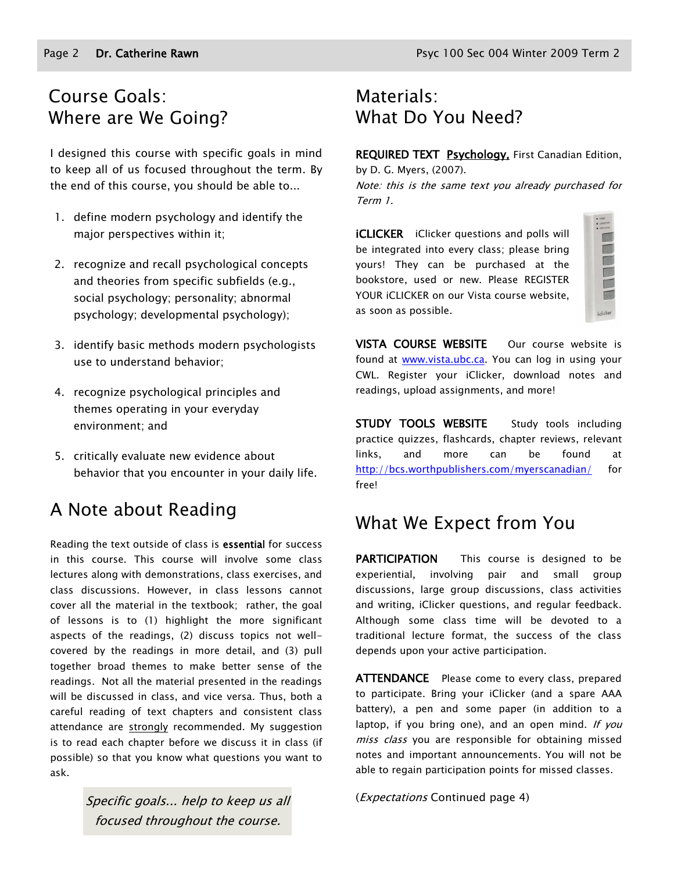# Course Goals: Where are We Going?

I designed this course with specific goals in mind to keep all of us focused throughout the term. By the end of this course, you should be able to...

- 1. define modern psychology and identify the major perspectives within it;
- 2. recognize and recall psychological concepts and theories from specific subfields (e.g., social psychology; personality; abnormal psychology; developmental psychology);
- 3. identify basic methods modern psychologists use to understand behavior;
- 4. recognize psychological principles and themes operating in your everyday environment; and
- 5. critically evaluate new evidence about behavior that you encounter in your daily life.

# A Note about Reading

Reading the text outside of class is essential for success in this course. This course will involve some class lectures along with demonstrations, class exercises, and class discussions. However, in class lessons cannot cover all the material in the textbook; rather, the goal of lessons is to (1) highlight the more significant aspects of the readings, (2) discuss topics not wellcovered by the readings in more detail, and (3) pull together broad themes to make better sense of the readings. Not all the material presented in the readings will be discussed in class, and vice versa. Thus, both a careful reading of text chapters and consistent class attendance are strongly recommended. My suggestion is to read each chapter before we discuss it in class (if possible) so that you know what questions you want to ask.

> Specific goals... help to keep us all focused throughout the course.

# Materials: What Do You Need?

REQUIRED TEXT Psychology, First Canadian Edition,

by D. G. Myers, (2007). Note: this is the same text you already purchased for Term 1.

**iCLICKER** iClicker questions and polls will be integrated into every class; please bring yours! They can be purchased at the bookstore, used or new. Please REGISTER YOUR iCLICKER on our Vista course website, as soon as possible.

| idicker |
|---------|

VISTA COURSE WEBSITE Our course website is found at [www.vista.ubc.ca.](http://www.vista.ubc.ca/) You can log in using your CWL. Register your iClicker, download notes and readings, upload assignments, and more!

STUDY TOOLS WEBSITE Study tools including practice quizzes, flashcards, chapter reviews, relevant links, and more can be found at <http://bcs.worthpublishers.com/myerscanadian/> for free!

# What We Expect from You

PARTICIPATION This course is designed to be experiential, involving pair and small group discussions, large group discussions, class activities and writing, iClicker questions, and regular feedback. Although some class time will be devoted to a traditional lecture format, the success of the class depends upon your active participation.

**ATTENDANCE** Please come to every class, prepared to participate. Bring your iClicker (and a spare AAA battery), a pen and some paper (in addition to a laptop, if you bring one), and an open mind. If you miss class you are responsible for obtaining missed notes and important announcements. You will not be able to regain participation points for missed classes.

(Expectations Continued page 4)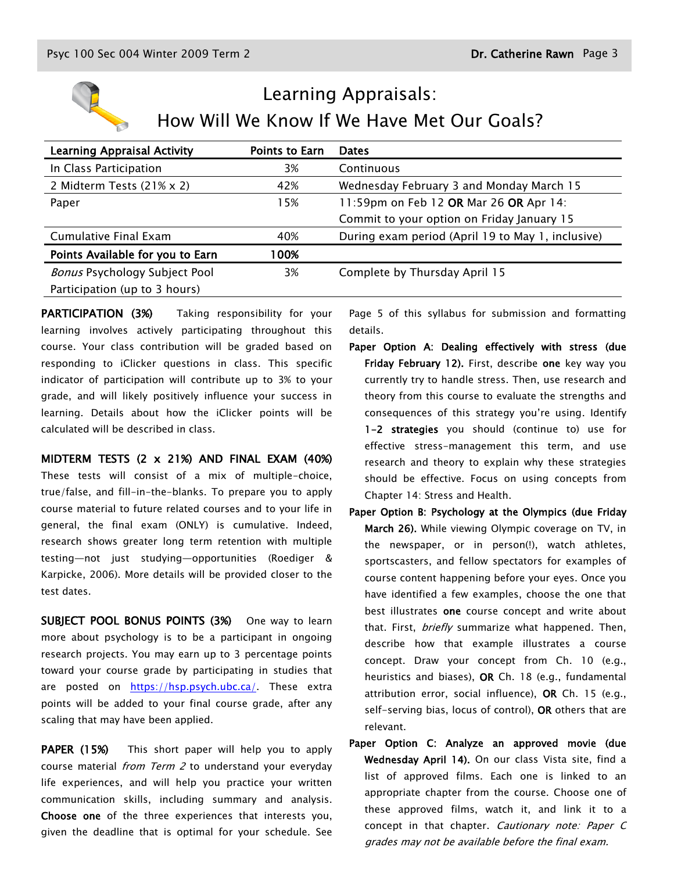

# Learning Appraisals: How Will We Know If We Have Met Our Goals?

| <b>Points to Earn</b> | <b>Dates</b>                                      |
|-----------------------|---------------------------------------------------|
| 3%                    | Continuous                                        |
| 42%                   | Wednesday February 3 and Monday March 15          |
| 15%                   | 11:59pm on Feb 12 OR Mar 26 OR Apr 14:            |
|                       | Commit to your option on Friday January 15        |
| 40%                   | During exam period (April 19 to May 1, inclusive) |
| 100%                  |                                                   |
| 3%                    | Complete by Thursday April 15                     |
|                       |                                                   |
|                       |                                                   |

PARTICIPATION (3%) Taking responsibility for your learning involves actively participating throughout this course. Your class contribution will be graded based on responding to iClicker questions in class. This specific indicator of participation will contribute up to 3% to your grade, and will likely positively influence your success in learning. Details about how the iClicker points will be calculated will be described in class.

MIDTERM TESTS (2 x 21%) AND FINAL EXAM (40%)

These tests will consist of a mix of multiple-choice, true/false, and fill-in-the-blanks. To prepare you to apply course material to future related courses and to your life in general, the final exam (ONLY) is cumulative. Indeed, research shows greater long term retention with multiple testing—not just studying—opportunities (Roediger & Karpicke, 2006). More details will be provided closer to the test dates.

SUBJECT POOL BONUS POINTS (3%) One way to learn more about psychology is to be a participant in ongoing research projects. You may earn up to 3 percentage points toward your course grade by participating in studies that are posted on [https://hsp.psych.ubc.ca/.](https://hsp.psych.ubc.ca/) These extra points will be added to your final course grade, after any scaling that may have been applied.

PAPER (15%) This short paper will help you to apply course material *from Term 2* to understand your everyday life experiences, and will help you practice your written communication skills, including summary and analysis. Choose one of the three experiences that interests you, given the deadline that is optimal for your schedule. See

Page 5 of this syllabus for submission and formatting details.

- Paper Option A: Dealing effectively with stress (due Friday February 12). First, describe one key way you currently try to handle stress. Then, use research and theory from this course to evaluate the strengths and consequences of this strategy you're using. Identify 1-2 strategies you should (continue to) use for effective stress-management this term, and use research and theory to explain why these strategies should be effective. Focus on using concepts from Chapter 14: Stress and Health.
- Paper Option B: Psychology at the Olympics (due Friday March 26). While viewing Olympic coverage on TV, in the newspaper, or in person(!), watch athletes, sportscasters, and fellow spectators for examples of course content happening before your eyes. Once you have identified a few examples, choose the one that best illustrates one course concept and write about that. First, *briefly* summarize what happened. Then, describe how that example illustrates a course concept. Draw your concept from Ch. 10 (e.g., heuristics and biases), OR Ch. 18 (e.g., fundamental attribution error, social influence), OR Ch. 15 (e.g., self-serving bias, locus of control), OR others that are relevant.
- Paper Option C: Analyze an approved movie (due Wednesday April 14). On our class Vista site, find a list of approved films. Each one is linked to an appropriate chapter from the course. Choose one of these approved films, watch it, and link it to a concept in that chapter. Cautionary note: Paper C grades may not be available before the final exam.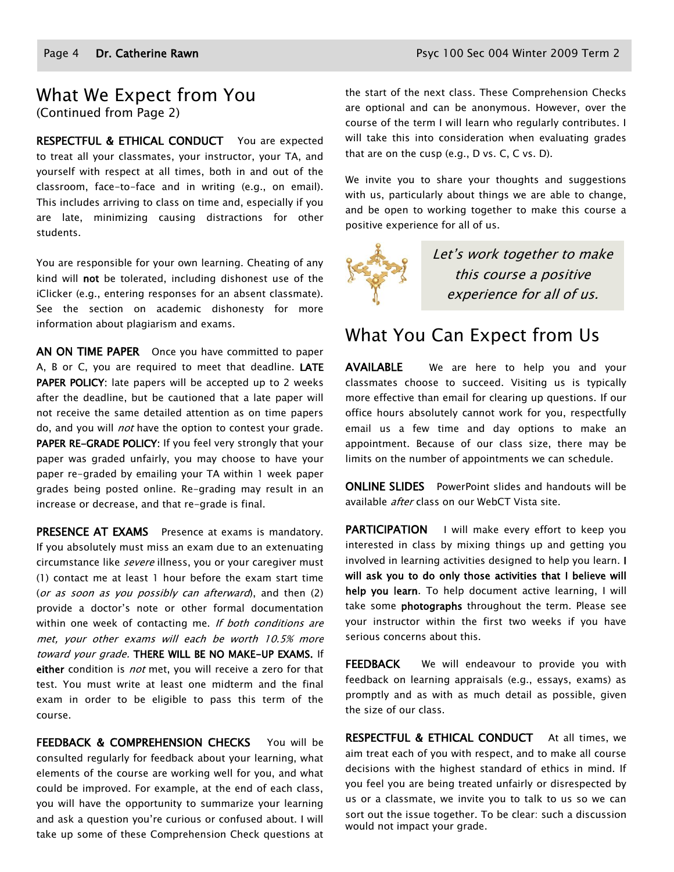### What We Expect from You (Continued from Page 2)

RESPECTFUL & ETHICAL CONDUCT You are expected to treat all your classmates, your instructor, your TA, and yourself with respect at all times, both in and out of the classroom, face-to-face and in writing (e.g., on email). This includes arriving to class on time and, especially if you are late, minimizing causing distractions for other students.

You are responsible for your own learning. Cheating of any kind will not be tolerated, including dishonest use of the iClicker (e.g., entering responses for an absent classmate). See the section on academic dishonesty for more information about plagiarism and exams.

AN ON TIME PAPER Once you have committed to paper A, B or C, you are required to meet that deadline. LATE PAPER POLICY: late papers will be accepted up to 2 weeks after the deadline, but be cautioned that a late paper will not receive the same detailed attention as on time papers do, and you will *not* have the option to contest your grade. PAPER RE-GRADE POLICY: If you feel very strongly that your paper was graded unfairly, you may choose to have your paper re-graded by emailing your TA within 1 week paper grades being posted online. Re-grading may result in an increase or decrease, and that re-grade is final.

PRESENCE AT EXAMS Presence at exams is mandatory. If you absolutely must miss an exam due to an extenuating circumstance like severe illness, you or your caregiver must (1) contact me at least 1 hour before the exam start time (or as soon as you possibly can afterward), and then (2) provide a doctor's note or other formal documentation within one week of contacting me. If both conditions are met, your other exams will each be worth 10.5% more toward your grade. THERE WILL BE NO MAKE-UP EXAMS. If either condition is *not* met, you will receive a zero for that test. You must write at least one midterm and the final exam in order to be eligible to pass this term of the course.

FEEDBACK & COMPREHENSION CHECKS You will be consulted regularly for feedback about your learning, what elements of the course are working well for you, and what could be improved. For example, at the end of each class, you will have the opportunity to summarize your learning and ask a question you're curious or confused about. I will take up some of these Comprehension Check questions at the start of the next class. These Comprehension Checks are optional and can be anonymous. However, over the course of the term I will learn who regularly contributes. I will take this into consideration when evaluating grades that are on the cusp (e.g., D vs. C, C vs. D).

We invite you to share your thoughts and suggestions with us, particularly about things we are able to change, and be open to working together to make this course a positive experience for all of us.



Let's work together to make this course a positive experience for all of us.

# What You Can Expect from Us

AVAILABLE We are here to help you and your classmates choose to succeed. Visiting us is typically more effective than email for clearing up questions. If our office hours absolutely cannot work for you, respectfully email us a few time and day options to make an appointment. Because of our class size, there may be limits on the number of appointments we can schedule.

ONLINE SLIDES PowerPoint slides and handouts will be available *after* class on our WebCT Vista site.

PARTICIPATION I will make every effort to keep you interested in class by mixing things up and getting you involved in learning activities designed to help you learn. I will ask you to do only those activities that I believe will help you learn. To help document active learning, I will take some **photographs** throughout the term. Please see your instructor within the first two weeks if you have serious concerns about this.

FEEDBACK We will endeavour to provide you with feedback on learning appraisals (e.g., essays, exams) as promptly and as with as much detail as possible, given the size of our class.

RESPECTFUL & ETHICAL CONDUCT At all times, we aim treat each of you with respect, and to make all course decisions with the highest standard of ethics in mind. If you feel you are being treated unfairly or disrespected by us or a classmate, we invite you to talk to us so we can sort out the issue together. To be clear: such a discussion would not impact your grade.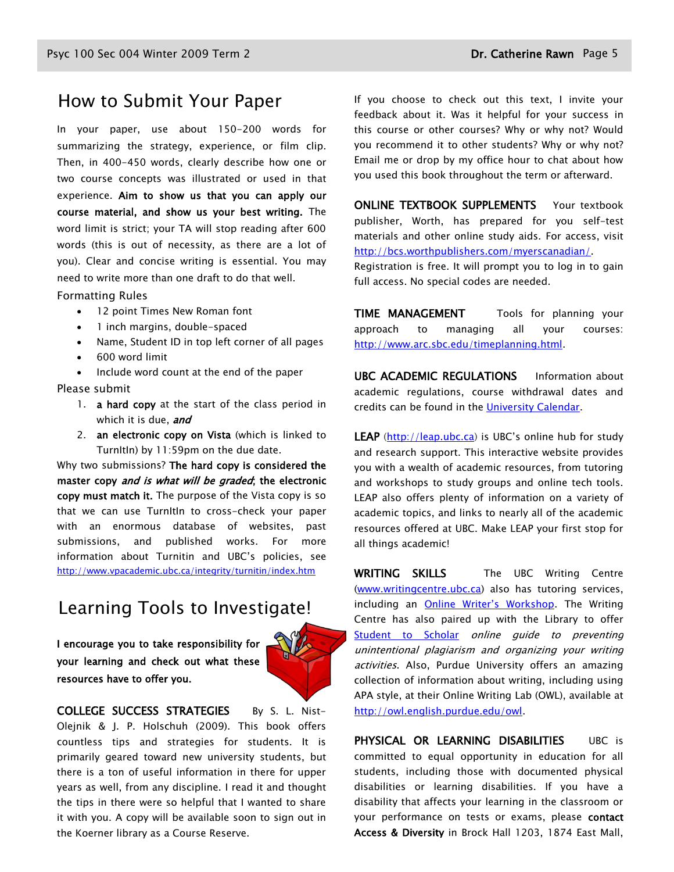### How to Submit Your Paper

In your paper, use about 150-200 words for summarizing the strategy, experience, or film clip. Then, in 400-450 words, clearly describe how one or two course concepts was illustrated or used in that experience. Aim to show us that you can apply our course material, and show us your best writing. The word limit is strict; your TA will stop reading after 600 words (this is out of necessity, as there are a lot of you). Clear and concise writing is essential. You may need to write more than one draft to do that well.

#### Formatting Rules

- 12 point Times New Roman font
- 1 inch margins, double-spaced
- Name, Student ID in top left corner of all pages
- 600 word limit

Include word count at the end of the paper

Please submit

- 1. **a hard copy** at the start of the class period in which it is due, and
- 2. an electronic copy on Vista (which is linked to TurnItIn) by 11:59pm on the due date.

Why two submissions? The hard copy is considered the master copy and is what will be graded; the electronic copy must match it. The purpose of the Vista copy is so that we can use TurnItIn to cross-check your paper with an enormous database of websites, past submissions, and published works. For more information about Turnitin and UBC's policies, see <http://www.vpacademic.ubc.ca/integrity/turnitin/index.htm>

## Learning Tools to Investigate!

I encourage you to take responsibility for your learning and check out what these resources have to offer you.



COLLEGE SUCCESS STRATEGIES By S. L. Nist-Olejnik & J. P. Holschuh (2009). This book offers countless tips and strategies for students. It is primarily geared toward new university students, but there is a ton of useful information in there for upper years as well, from any discipline. I read it and thought the tips in there were so helpful that I wanted to share it with you. A copy will be available soon to sign out in the Koerner library as a Course Reserve.

If you choose to check out this text, I invite your feedback about it. Was it helpful for your success in this course or other courses? Why or why not? Would you recommend it to other students? Why or why not? Email me or drop by my office hour to chat about how you used this book throughout the term or afterward.

ONLINE TEXTBOOK SUPPLEMENTS Your textbook publisher, Worth, has prepared for you self-test materials and other online study aids. For access, visit [http://bcs.worthpublishers.com/myerscanadian/.](http://bcs.worthpublishers.com/myerscanadian/)

Registration is free. It will prompt you to log in to gain full access. No special codes are needed.

TIME MANAGEMENT Tools for planning your approach to managing all your courses: [http://www.arc.sbc.edu/timeplanning.html.](http://www.arc.sbc.edu/timeplanning.html)

UBC ACADEMIC REGULATIONS Information about academic regulations, course withdrawal dates and credits can be found in the [University Calendar.](http://students.ubc.ca/calendar/academicyear.cfm)

LEAP [\(http://leap.ubc.ca\)](http://leap.ubc.ca/) is UBC's online hub for study and research support. This interactive website provides you with a wealth of academic resources, from tutoring and workshops to study groups and online tech tools. LEAP also offers plenty of information on a variety of academic topics, and links to nearly all of the academic resources offered at UBC. Make LEAP your first stop for all things academic!

WRITING SKILLS The UBC Writing Centre [\(www.writingcentre.ubc.ca\)](http://www.writingcentre.ubc.ca/) also has tutoring services, including an [Online Writer's Workshop](http://www.writingcentre.ubc.ca/workshop/index.html). The Writing Centre has also paired up with the Library to offer [Student to Scholar](http://www.library.ubc.ca/hss/instruction/sts/Whole_page.htm) online guide to preventing unintentional plagiarism and organizing your writing activities. Also, Purdue University offers an amazing collection of information about writing, including using APA style, at their Online Writing Lab (OWL), available at [http://owl.english.purdue.edu/owl.](http://owl.english.purdue.edu/owl/)

PHYSICAL OR LEARNING DISABILITIES UBC is committed to equal opportunity in education for all students, including those with documented physical disabilities or learning disabilities. If you have a disability that affects your learning in the classroom or your performance on tests or exams, please contact Access & Diversity in Brock Hall 1203, 1874 East Mall,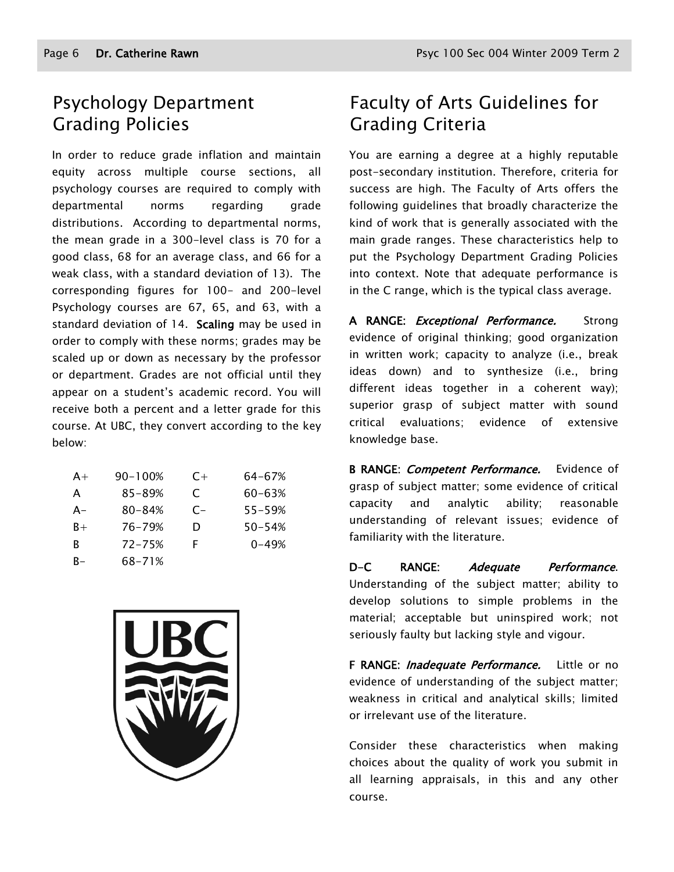# Psychology Department Grading Policies

In order to reduce grade inflation and maintain equity across multiple course sections, all psychology courses are required to comply with departmental norms regarding grade distributions. According to departmental norms, the mean grade in a 300-level class is 70 for a good class, 68 for an average class, and 66 for a weak class, with a standard deviation of 13). The corresponding figures for 100- and 200-level Psychology courses are 67, 65, and 63, with a standard deviation of 14. Scaling may be used in order to comply with these norms; grades may be scaled up or down as necessary by the professor or department. Grades are not official until they appear on a student's academic record. You will receive both a percent and a letter grade for this course. At UBC, they convert according to the key below:

| $A+$ | 90-100%    | $C+$ | 64-67%     |
|------|------------|------|------------|
| A    | 85-89%     | C    | 60-63%     |
| A-   | $80 - 84%$ | $C-$ | $55 - 59%$ |
| $B+$ | 76-79%     | D    | $50 - 54%$ |
| R    | $72 - 75%$ | F    | $0 - 49%$  |
| R-   | 68-71%     |      |            |



# Faculty of Arts Guidelines for Grading Criteria

You are earning a degree at a highly reputable post-secondary institution. Therefore, criteria for success are high. The Faculty of Arts offers the following guidelines that broadly characterize the kind of work that is generally associated with the main grade ranges. These characteristics help to put the Psychology Department Grading Policies into context. Note that adequate performance is in the C range, which is the typical class average.

A RANGE: *Exceptional Performance.* Strong evidence of original thinking; good organization in written work; capacity to analyze (i.e., break ideas down) and to synthesize (i.e., bring different ideas together in a coherent way); superior grasp of subject matter with sound critical evaluations; evidence of extensive knowledge base.

B RANGE: Competent Performance. Evidence of grasp of subject matter; some evidence of critical capacity and analytic ability; reasonable understanding of relevant issues; evidence of familiarity with the literature.

D-C RANGE: Adequate Performance. Understanding of the subject matter; ability to develop solutions to simple problems in the material; acceptable but uninspired work; not seriously faulty but lacking style and vigour.

F RANGE: *Inadequate Performance*. Little or no evidence of understanding of the subject matter; weakness in critical and analytical skills; limited or irrelevant use of the literature.

Consider these characteristics when making choices about the quality of work you submit in all learning appraisals, in this and any other course.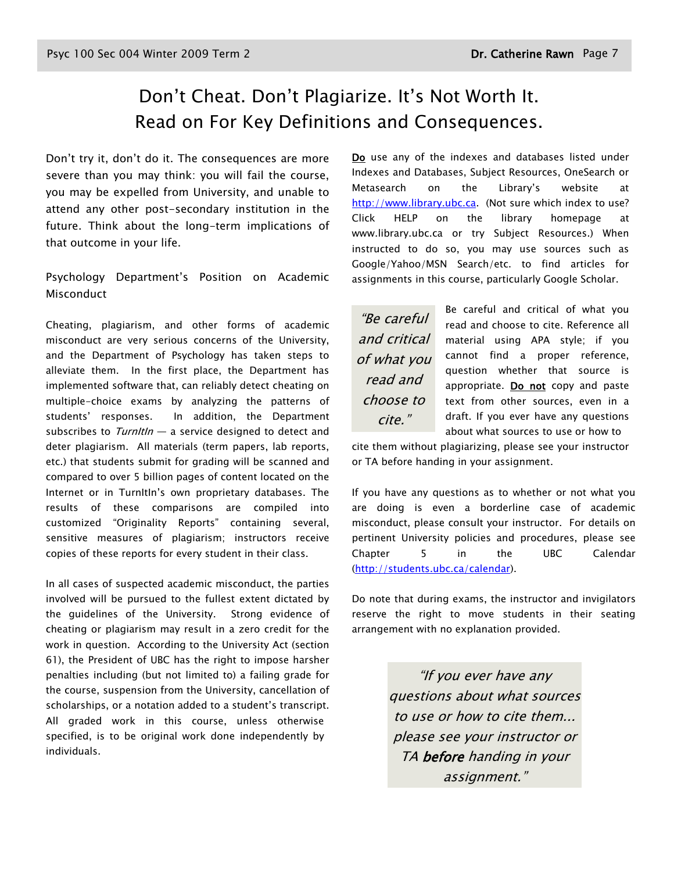# Don't Cheat. Don't Plagiarize. It's Not Worth It. Read on For Key Definitions and Consequences.

Don't try it, don't do it. The consequences are more severe than you may think: you will fail the course, you may be expelled from University, and unable to attend any other post-secondary institution in the future. Think about the long-term implications of that outcome in your life.

Psychology Department's Position on Academic Misconduct

Cheating, plagiarism, and other forms of academic misconduct are very serious concerns of the University, and the Department of Psychology has taken steps to alleviate them. In the first place, the Department has implemented software that, can reliably detect cheating on multiple-choice exams by analyzing the patterns of students' responses. In addition, the Department subscribes to  $Turnltln - a$  service designed to detect and deter plagiarism. All materials (term papers, lab reports, etc.) that students submit for grading will be scanned and compared to over 5 billion pages of content located on the Internet or in TurnItIn's own proprietary databases. The results of these comparisons are compiled into customized "Originality Reports" containing several, sensitive measures of plagiarism; instructors receive copies of these reports for every student in their class.

In all cases of suspected academic misconduct, the parties involved will be pursued to the fullest extent dictated by the guidelines of the University. Strong evidence of cheating or plagiarism may result in a zero credit for the work in question. According to the University Act (section 61), the President of UBC has the right to impose harsher penalties including (but not limited to) a failing grade for the course, suspension from the University, cancellation of scholarships, or a notation added to a student's transcript. All graded work in this course, unless otherwise specified, is to be original work done independently by individuals.

Do use any of the indexes and databases listed under Indexes and Databases, Subject Resources, OneSearch or Metasearch on the Library's website at [http://www.library.ubc.ca.](http://www.library.ubc.ca/) (Not sure which index to use? Click HELP on the library homepage at www.library.ubc.ca or try Subject Resources.) When instructed to do so, you may use sources such as Google/Yahoo/MSN Search/etc. to find articles for assignments in this course, particularly Google Scholar.

"Be careful and critical of what you read and choose to cite."

Be careful and critical of what you read and choose to cite. Reference all material using APA style; if you cannot find a proper reference, question whether that source is appropriate. Do not copy and paste text from other sources, even in a draft. If you ever have any questions about what sources to use or how to

cite them without plagiarizing, please see your instructor or TA before handing in your assignment.

If you have any questions as to whether or not what you are doing is even a borderline case of academic misconduct, please consult your instructor. For details on pertinent University policies and procedures, please see Chapter 5 in the UBC Calendar [\(http://students.ubc.ca/calendar\)](http://students.ubc.ca/calendar).

Do note that during exams, the instructor and invigilators reserve the right to move students in their seating arrangement with no explanation provided.

> "If you ever have any questions about what sources to use or how to cite them... please see your instructor or TA before handing in your assignment."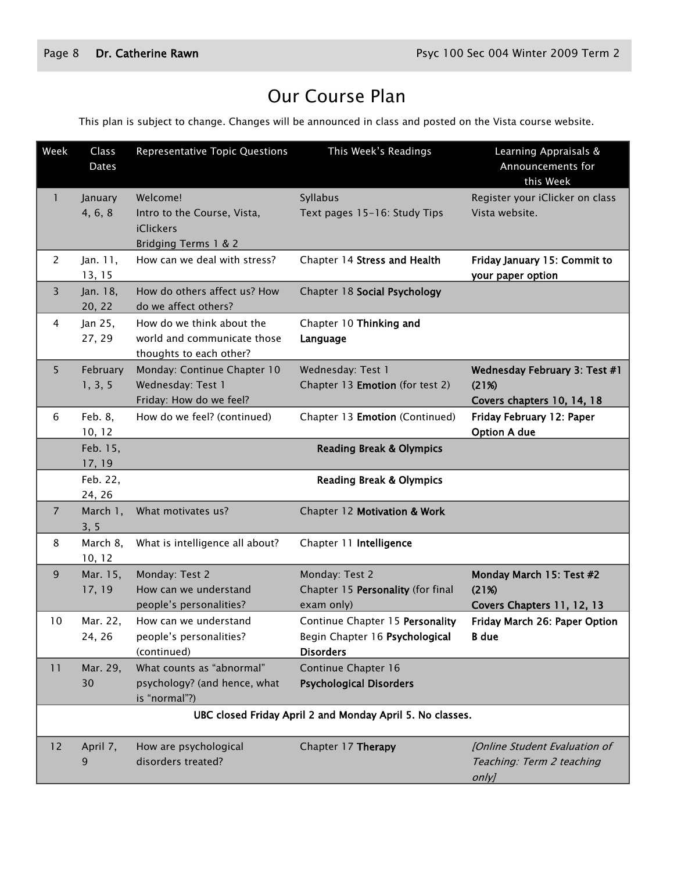# Our Course Plan

This plan is subject to change. Changes will be announced in class and posted on the Vista course website.

| Week           | Class<br><b>Dates</b> | Representative Topic Questions                                                      | This Week's Readings                                                                  | Learning Appraisals &<br>Announcements for<br>this Week                |
|----------------|-----------------------|-------------------------------------------------------------------------------------|---------------------------------------------------------------------------------------|------------------------------------------------------------------------|
| 1              | January<br>4, 6, 8    | Welcome!<br>Intro to the Course, Vista,<br><b>iClickers</b><br>Bridging Terms 1 & 2 | Syllabus<br>Text pages 15-16: Study Tips                                              | Register your iClicker on class<br>Vista website.                      |
| 2              | Jan. 11,<br>13, 15    | How can we deal with stress?                                                        | Chapter 14 Stress and Health                                                          | Friday January 15: Commit to<br>your paper option                      |
| 3              | Jan. 18,<br>20, 22    | How do others affect us? How<br>do we affect others?                                | Chapter 18 Social Psychology                                                          |                                                                        |
| 4              | Jan 25,<br>27, 29     | How do we think about the<br>world and communicate those<br>thoughts to each other? | Chapter 10 Thinking and<br>Language                                                   |                                                                        |
| 5              | February<br>1, 3, 5   | Monday: Continue Chapter 10<br>Wednesday: Test 1<br>Friday: How do we feel?         | Wednesday: Test 1<br>Chapter 13 Emotion (for test 2)                                  | Wednesday February 3: Test #1<br>(21%)<br>Covers chapters 10, 14, 18   |
| 6              | Feb. 8,<br>10, 12     | How do we feel? (continued)                                                         | Chapter 13 Emotion (Continued)                                                        | Friday February 12: Paper<br><b>Option A due</b>                       |
|                | Feb. 15,<br>17, 19    |                                                                                     | <b>Reading Break &amp; Olympics</b>                                                   |                                                                        |
|                | Feb. 22,<br>24, 26    |                                                                                     | <b>Reading Break &amp; Olympics</b>                                                   |                                                                        |
| $\overline{7}$ | March 1,<br>3, 5      | What motivates us?                                                                  | Chapter 12 Motivation & Work                                                          |                                                                        |
| 8              | March 8,<br>10, 12    | What is intelligence all about?                                                     | Chapter 11 Intelligence                                                               |                                                                        |
| 9              | Mar. 15,<br>17, 19    | Monday: Test 2<br>How can we understand<br>people's personalities?                  | Monday: Test 2<br>Chapter 15 Personality (for final<br>exam only)                     | Monday March 15: Test #2<br>(21%)<br>Covers Chapters 11, 12, 13        |
| 10             | Mar. 22,<br>24, 26    | How can we understand<br>people's personalities?<br>(continued)                     | Continue Chapter 15 Personality<br>Begin Chapter 16 Psychological<br><b>Disorders</b> | Friday March 26: Paper Option<br>B due                                 |
| 11             | Mar. 29,<br>30        | What counts as "abnormal"<br>psychology? (and hence, what<br>is "normal"?)          | Continue Chapter 16<br><b>Psychological Disorders</b>                                 |                                                                        |
|                |                       |                                                                                     | UBC closed Friday April 2 and Monday April 5. No classes.                             |                                                                        |
| 12             | April 7,<br>9         | How are psychological<br>disorders treated?                                         | Chapter 17 Therapy                                                                    | [Online Student Evaluation of<br>Teaching: Term 2 teaching<br>$only$ ] |